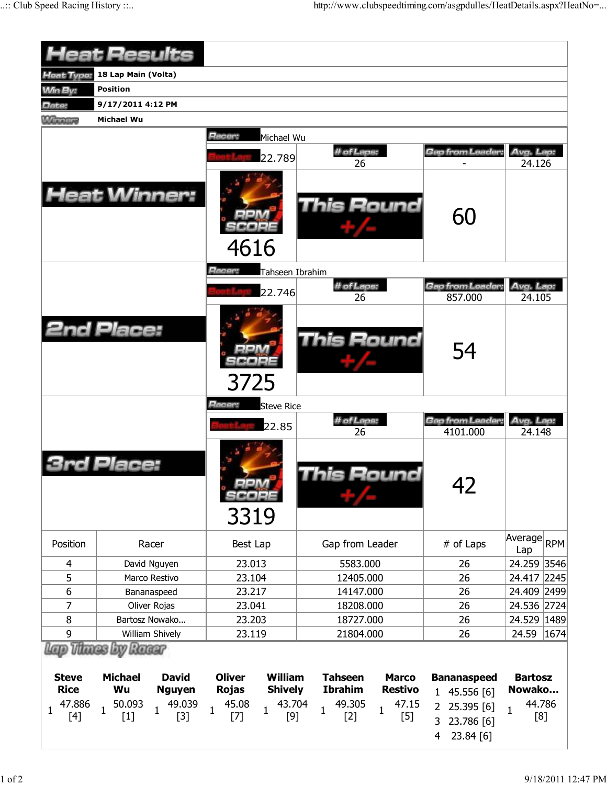|                              | <b>Heat Results</b>                                                        |                                                                   |                                                                    |                                                                   |                               |
|------------------------------|----------------------------------------------------------------------------|-------------------------------------------------------------------|--------------------------------------------------------------------|-------------------------------------------------------------------|-------------------------------|
| Heat Type:                   | 18 Lap Main (Volta)                                                        |                                                                   |                                                                    |                                                                   |                               |
| <b>Min By:</b>               | <b>Position</b>                                                            |                                                                   |                                                                    |                                                                   |                               |
| Date:                        | 9/17/2011 4:12 PM                                                          |                                                                   |                                                                    |                                                                   |                               |
| <b>Winners</b>               | Michael Wu                                                                 |                                                                   |                                                                    |                                                                   |                               |
|                              |                                                                            | Racer:<br>Michael Wu<br>22.789                                    | # of Laps:<br>26                                                   | Gap from Leader.                                                  | Avg. Lap:<br>24.126           |
|                              | <b>Heat Winner:</b>                                                        | 4616                                                              | <b>This Round</b>                                                  | 60                                                                |                               |
|                              |                                                                            | Racer:<br>Tahseen Ibrahim                                         |                                                                    |                                                                   |                               |
|                              |                                                                            | 22.746                                                            | # of Laps:                                                         | Gap from Leader:                                                  | Avg. Lap:                     |
|                              | <b>2nd Place:</b>                                                          | 3725                                                              | 26<br><b>This Round</b>                                            | 857.000<br>54                                                     | 24.105                        |
|                              |                                                                            | Racer:<br><b>Steve Rice</b>                                       |                                                                    |                                                                   |                               |
|                              |                                                                            | 22.85                                                             | # of Laps:                                                         | Gap from Leader:                                                  | Avg. Lap:                     |
|                              | Place:                                                                     | 3319                                                              | 26<br>his Round                                                    | 4101.000<br>42                                                    | 24.148                        |
| Position                     | Racer                                                                      | Best Lap                                                          | Gap from Leader                                                    | # of Laps                                                         | Average<br><b>RPM</b><br>Lap  |
| 4                            | David Nguyen                                                               | 23.013                                                            | 5583.000                                                           | 26                                                                | 24.259 3546                   |
| 5                            | Marco Restivo                                                              | 23.104                                                            | 12405.000                                                          | 26                                                                | 24.417 2245                   |
| 6                            | Bananaspeed                                                                | 23.217                                                            | 14147.000                                                          | 26                                                                | 24.409 2499                   |
| $\overline{7}$               | Oliver Rojas                                                               | 23.041                                                            | 18208.000                                                          | 26                                                                | 24.536 2724                   |
| 8                            | Bartosz Nowako                                                             | 23.203                                                            | 18727.000                                                          | 26                                                                | 24.529 1489                   |
| 9<br>William Shively         |                                                                            | 23.119                                                            | 21804.000                                                          | 26                                                                | 1674<br>24.59                 |
| <b>Steve</b><br><b>Rice</b>  | Lap Thues by Ruar<br><b>Michael</b><br><b>David</b><br>Wu<br><b>Nguyen</b> | <b>Oliver</b><br><b>William</b><br><b>Rojas</b><br><b>Shively</b> | <b>Tahseen</b><br><b>Marco</b><br><b>Ibrahim</b><br><b>Restivo</b> | <b>Bananaspeed</b><br>1 45.556 [6]                                | <b>Bartosz</b><br>Nowako      |
| 47.886<br>$\mathbf 1$<br>[4] | 50.093<br>49.039<br>$\mathbf{1}$<br>$\mathbf{1}$<br>$[1]$<br>$[3]$         | 45.08<br>43.704<br>$\mathbf{1}$<br>$\mathbf{1}$<br>$[9]$<br>$[7]$ | 49.305<br>47.15<br>1<br>$\mathbf{1}$<br>$[5]$<br>$[2]$             | 25.395 [6]<br>$\overline{2}$<br>3<br>23.786 [6]<br>23.84 [6]<br>4 | 44.786<br>$\mathbf{1}$<br>[8] |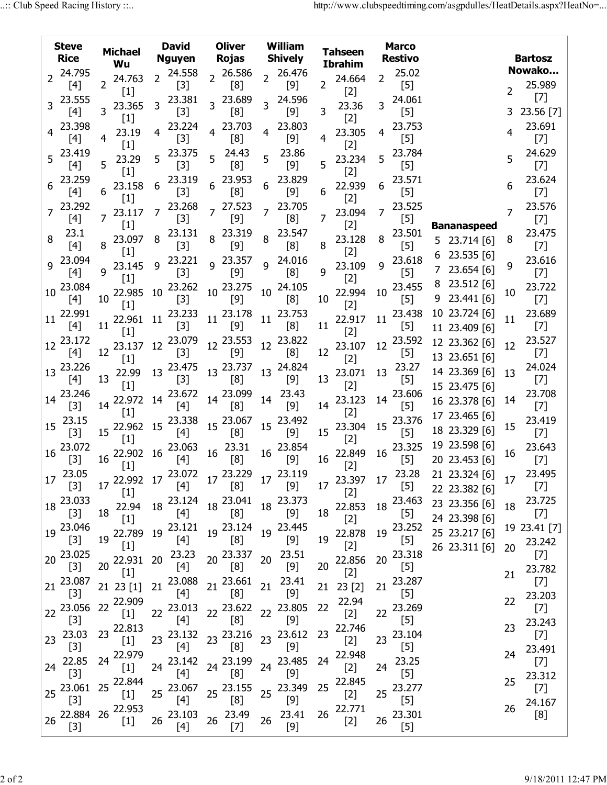| <b>Steve</b><br><b>Rice</b> | <b>Michael</b><br>Wu     | <b>David</b><br><b>Nguyen</b> | <b>Oliver</b><br><b>Rojas</b> | <b>William</b><br><b>Shively</b> | Tahseen<br><b>Ibrahim</b> | <b>Marco</b><br><b>Restivo</b> |                     |                       |
|-----------------------------|--------------------------|-------------------------------|-------------------------------|----------------------------------|---------------------------|--------------------------------|---------------------|-----------------------|
| 24.795                      |                          | 24.558                        | 26.586<br>$\overline{2}$      | 26.476                           |                           | 25.02                          |                     | Nowako                |
| 2<br>[4]                    | 24.763<br>$\overline{2}$ | $\overline{2}$<br>$[3]$       | [8]                           | $\overline{2}$<br>[9]            | 24.664<br>2               | 2<br>$[5]$                     |                     | 25.989<br>2           |
| 23.555                      | $[1]$                    | 23.381                        | 23.689                        | 24.596                           | $[2]$                     | 24.061                         |                     | $[7]$                 |
| 3.<br>$[4]$                 | 23.365<br>3              | 3<br>$[3]$                    | 3<br>[8]                      | 3<br>$[9]$                       | 23.36<br>3                | 3<br>$[5]$                     |                     | 23.56 [7]<br>3.       |
| 23.398                      | $[1]$                    | 23.224                        | 23.703<br>4                   | 23.803                           | $[2]$                     | 23.753                         |                     | 23.691                |
| [4]                         | 23.19<br>4               | 4<br>$[3]$                    | [8]                           | 4<br>[9]                         | 23.305<br>4               | $\overline{4}$<br>$[5]$        |                     | 4<br>$[7]$            |
| 23.419<br>5                 | $[1]$                    | 23.375                        | 24.43<br>5                    | 23.86<br>5                       | $[2]$                     | 23.784                         |                     | 24.629<br>5           |
| $[4]$                       | 23.29<br>5<br>$[1]$      | 5<br>$[3]$                    | [8]                           | $[9]$                            | 23.234<br>5<br>$[2]$      | 5<br>$[5]$                     |                     | $[7]$                 |
| 23.259                      | 23.158                   | 23.319<br>6                   | 23.953<br>6                   | 23.829<br>6                      | 22.939                    | 23.571<br>6                    |                     | 23.624<br>6           |
| [4]                         | 6<br>$[1]$               | $[3]$                         | [8]                           | $[9]$                            | 6<br>$[2]$                | $[5]$                          |                     | $[7]$                 |
| 23.292                      | 23.117                   | 23.268<br>7                   | 27.523<br>$\overline{7}$      | 23.705<br>7                      | 23.094                    | 23.525<br>7                    |                     | 23.576<br>7           |
| [4]                         | $[1]$                    | $[3]$                         | $[9]$                         | [8]                              | 7<br>$[2]$                | $[5]$                          | <b>Bananaspeed</b>  | $[7]$                 |
| 23.1<br>8                   | 23.097                   | 23.131<br>8                   | 23.319<br>8                   | 23.547<br>8                      | 23.128                    | 23.501<br>8                    | 5 23.714 [6]        | 23.475<br>8           |
| [4]                         | 8<br>$[1]$               | $[3]$                         | $[9]$                         | [8]                              | 8<br>$[2]$                | $[5]$                          |                     | $[7]$                 |
| 23.094<br>q                 | 23.145                   | 23.221<br>q                   | 23.357<br>$\mathsf{Q}$        | 24.016<br>9                      | 23.109                    | 23.618<br>q                    | 23.535 [6]<br>6     | 23.616<br>9           |
| [4]                         | g<br>$[1]$               | $[3]$                         | $[9]$                         | [8]                              | 9<br>$[2]$                | $[5]$                          | 23.654 [6]          | $[7]$                 |
| 23.084<br>10                | 22.985                   | 23.262<br>10                  | 23.275<br>10                  | 24.105<br>10                     | 22.994                    | 23.455<br>10                   | 23.512 [6]<br>8     | 23.722<br>10          |
| $[4]$                       | 10<br>$[1]$              | $[3]$                         | $[9]$                         | [8]                              | 10<br>$[2]$               | $[5]$                          | 23.441 [6]<br>9     | $[7]$                 |
| 22.991<br>11                | 22.961                   | 23.233<br>11                  | 23.178<br>11                  | 23.753<br>11                     | 22.917                    | 23.438<br>11                   | 10 23.724 [6]       | 23.689<br>11          |
| [4]                         | 11<br>$[1]$              | $[3]$                         | $[9]$                         | [8]                              | 11<br>$[2]$               | $[5]$                          | 11 23.409 [6]       | $[7]$                 |
| 23.172<br>12                | 23.137                   | 23.079<br>12                  | 23.553<br>12                  | 23.822<br>12                     | 23.107                    | 23.592<br>12                   | 12 23.362 [6]       | 23.527<br>12          |
| $[4]$                       | 12<br>$[1]$              | $[3]$                         | [9]                           | [8]                              | 12<br>$[2]$               | $[5]$                          | 13 23.651 [6]       | $[7]$                 |
| 23.226<br>13                | 22.99                    | 23.475<br>13                  | 23.737<br>13                  | 24.824<br>13                     | 23.071                    | 23.27<br>13                    | 14 23.369 [6]       | 24.024<br>13          |
| $[4]$                       | 13<br>$[1]$              | $[3]$                         | [8]                           | $[9]$                            | 13<br>$[2]$               | $[5]$                          | 15 23.475 [6]       | $[7]$                 |
| 23.246<br>14                | 22.972                   | 23.672<br>14                  | 23.099<br>14                  | 23.43<br>14                      | 23.123                    | 23.606<br>14                   | 16 23.378 [6]       | 23.708<br>14          |
| $[3]$                       | 14<br>$[1]$              | $[4]$                         | [8]                           | $[9]$                            | 14<br>$[2]$               | $[5]$                          | 17 23.465 [6]       | $[7]$                 |
| 23.15<br>15<br>$[3]$        | 22.962<br>15             | 23.338<br>15                  | 23.067<br>15                  | 23.492<br>15                     | 23.304<br>15              | 23.376<br>15<br>$[5]$          | 18 23.329 [6]       | 23.419<br>15<br>$[7]$ |
| 23.072                      | $[1]$                    | $[4]$<br>23.063               | [8]<br>23.31                  | $[9]$<br>23.854                  | $[2]$                     | 23.325                         | 19 23.598 [6]       | 23.643                |
| 16<br>$[3]$                 | 22.902<br>16             | 16<br>$[4]$                   | 16<br>[8]                     | 16<br>$[9]$                      | 22.849<br>16              | 16<br>$[5]$                    | 20 23.453 [6]       | 16<br>$[7]$           |
| 23.05                       | $[1]$                    |                               | 23.229                        | 23.119                           | $[2]$                     |                                | 23.28 21 23.324 [6] | 23.495                |
| 17<br>$[3]$                 | 17 22.992 17             | $23.072$ 17                   | [8]                           | 17<br>$[9]$                      | 23.397 17<br>17           | $[5]$                          | 22 23.382 [6]       | 17<br>$[7]$           |
| 23.033                      | $[1]$                    | 23.124                        | 18 23.041                     | 23.373                           | $[2]$                     | 23.463                         |                     | 23.725                |
| 18<br>$[3]$                 | 22.94<br>18              | 18<br>$[4]$                   | [8]                           | 18<br>$[9]$                      | 22.853<br>18              | 18<br>$[5]$                    | 23 23.356 [6]       | 18<br>$[7]$           |
| 19 23.046                   | $[1]$                    | 23.121                        | 19 23.124                     | 23.445                           | $[2]$                     | 23.252                         | 24 23.398 [6]       | 19 23.41 [7]          |
| $[3]$                       | 22.789<br>19             | 19<br>$[4]$                   | [8]                           | 19<br>$[9]$                      | 22.878<br>19              | 19<br>$[5]$                    | 25 23.217 [6]       | 23.242                |
| 23.025                      | $[1]$                    | 23.23                         | 20 23.337                     | 23.51                            | $[2]$                     | 23.318                         | 26 23.311 [6]       | 20<br>$[7]$           |
| 20 <sub>2</sub><br>$[3]$    | 22.931<br>20             | 20<br>$[4]$                   | [8]                           | 20<br>$[9]$                      | 22.856<br>20              | 20<br>$[5]$                    |                     | 23.782                |
| 23.087                      | $[1]$                    | 23.088                        | 21 23.661                     | 23.41                            | $[2]$                     | 23.287                         |                     | 21<br>$[7]$           |
| 21<br>$[3]$                 | 21 23 [1]                | 21<br>$[4]$                   | [8]                           | 21<br>$[9]$                      | 23 [2]<br>21              | 21<br>$[5]$                    |                     | 23.203                |
| 23.056<br>22                | 22.909<br>22             | 23.013                        | 23.622<br>22                  | 23.805<br>22                     | 22.94<br>22               | 23.269<br>22                   |                     | 22<br>$[7]$           |
| $[3]$                       | $[1]$                    | 22<br>$[4]$                   | [8]                           | $[9]$                            | $[2]$                     | $[5]$                          |                     | 23.243                |
| 23.03<br>23                 | 22.813<br>23             | 23.132<br>23                  | 23 23.216                     | 23.612<br>23                     | 22.746<br>23              | 23.104<br>23                   |                     | 23<br>$[7]$           |
| $[3]$                       | $[1]$                    | $[4]$                         | [8]                           | $[9]$                            | $[2]$                     | $[5]$                          |                     | 23.491                |
| 22.85<br>24                 | 22.979<br>24             | 23.142<br>24                  | 24 23.199                     | 23.485<br>24                     | 22.948<br>24<br>$[2]$     | 23.25<br>24                    |                     | 24<br>$[7]$           |
| $[3]$                       | $[1]$                    | $[4]$                         | [8]                           | $[9]$                            |                           | $[5]$                          |                     | 23.312<br>25          |
| 23.061<br>25                | 25 22.844<br>$[1]$       | 23.067<br>25                  | 25 23.155                     | 23.349<br>25                     | 22.845<br>25<br>$[2]$     | 23.277<br>25                   |                     | $[7]$                 |
| $[3]$                       | 22.953                   | $[4]$                         | [8]                           | $[9]$                            | 22.771                    | $[5]$                          |                     | 24.167<br>26          |
| 22.884 26<br>26             | $[1]$                    | 23.103<br>26                  | 23.49<br>26                   | 23.41<br>26                      | 26<br>$[2]$               | 23.301<br>26                   |                     | [8]                   |
| $[3]$                       |                          | $[4]$                         | $[7]$                         | $[9]$                            |                           | $[5]$                          |                     |                       |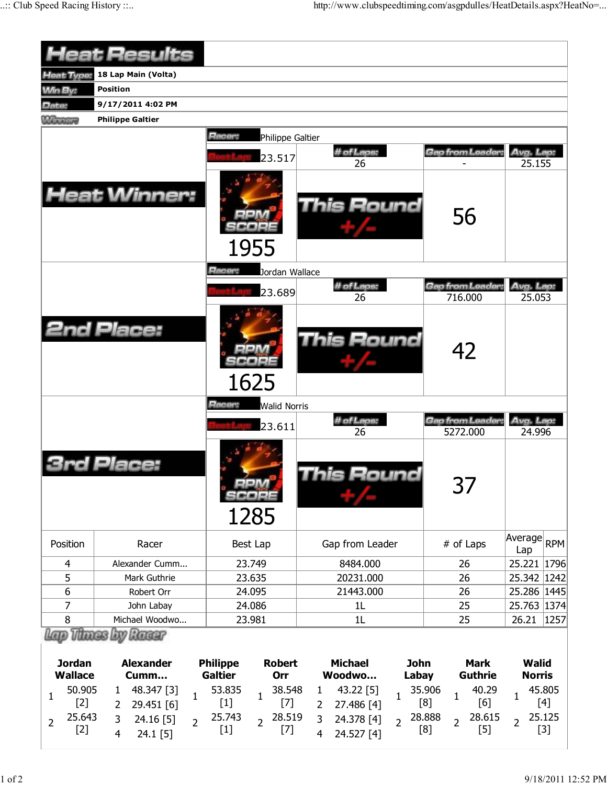|                                                           | <b>Heat Results</b>                                                                                                                          |                                                                                                                                                                                                                                                                                                                                                                                     |                                                                                                           |                                                                                                     |                                                           |  |  |  |  |  |  |
|-----------------------------------------------------------|----------------------------------------------------------------------------------------------------------------------------------------------|-------------------------------------------------------------------------------------------------------------------------------------------------------------------------------------------------------------------------------------------------------------------------------------------------------------------------------------------------------------------------------------|-----------------------------------------------------------------------------------------------------------|-----------------------------------------------------------------------------------------------------|-----------------------------------------------------------|--|--|--|--|--|--|
| <b>Heat Type:</b>                                         | 18 Lap Main (Volta)                                                                                                                          |                                                                                                                                                                                                                                                                                                                                                                                     |                                                                                                           |                                                                                                     |                                                           |  |  |  |  |  |  |
| <b>Min By:</b>                                            | <b>Position</b>                                                                                                                              |                                                                                                                                                                                                                                                                                                                                                                                     |                                                                                                           |                                                                                                     |                                                           |  |  |  |  |  |  |
| Date:                                                     | 9/17/2011 4:02 PM                                                                                                                            |                                                                                                                                                                                                                                                                                                                                                                                     |                                                                                                           |                                                                                                     |                                                           |  |  |  |  |  |  |
| <b>Winning</b>                                            | <b>Philippe Galtier</b>                                                                                                                      |                                                                                                                                                                                                                                                                                                                                                                                     |                                                                                                           |                                                                                                     |                                                           |  |  |  |  |  |  |
|                                                           | Racer:<br>Philippe Galtier                                                                                                                   |                                                                                                                                                                                                                                                                                                                                                                                     |                                                                                                           |                                                                                                     |                                                           |  |  |  |  |  |  |
|                                                           |                                                                                                                                              |                                                                                                                                                                                                                                                                                                                                                                                     | # of Laps:<br>Gap from Leader<br>Avg. Lap:                                                                |                                                                                                     |                                                           |  |  |  |  |  |  |
|                                                           |                                                                                                                                              | 23.517                                                                                                                                                                                                                                                                                                                                                                              | 26                                                                                                        |                                                                                                     | 25.155                                                    |  |  |  |  |  |  |
|                                                           | <b>Heat Winner:</b>                                                                                                                          | This Round<br>56<br>1955                                                                                                                                                                                                                                                                                                                                                            |                                                                                                           |                                                                                                     |                                                           |  |  |  |  |  |  |
|                                                           |                                                                                                                                              | Racer:<br>Jordan Wallace                                                                                                                                                                                                                                                                                                                                                            |                                                                                                           |                                                                                                     |                                                           |  |  |  |  |  |  |
|                                                           |                                                                                                                                              | 23.689                                                                                                                                                                                                                                                                                                                                                                              | # of Laps:                                                                                                | Gap from Leader.                                                                                    | Avg. Lap:                                                 |  |  |  |  |  |  |
|                                                           |                                                                                                                                              |                                                                                                                                                                                                                                                                                                                                                                                     | 26                                                                                                        | 716.000                                                                                             | 25.053                                                    |  |  |  |  |  |  |
|                                                           | <b>2nd Place:</b>                                                                                                                            | 1625                                                                                                                                                                                                                                                                                                                                                                                | This Round                                                                                                | 42                                                                                                  |                                                           |  |  |  |  |  |  |
| Racer:<br><b>Walid Norris</b>                             |                                                                                                                                              |                                                                                                                                                                                                                                                                                                                                                                                     |                                                                                                           |                                                                                                     |                                                           |  |  |  |  |  |  |
|                                                           |                                                                                                                                              | 23.611                                                                                                                                                                                                                                                                                                                                                                              | # of Laps:<br>26                                                                                          | Gap from Leader:<br>5272.000                                                                        | Avg. Lap:<br>24.996                                       |  |  |  |  |  |  |
|                                                           | <b>Jace</b>                                                                                                                                  | 1.00114<br>1285                                                                                                                                                                                                                                                                                                                                                                     | his Round                                                                                                 | 37                                                                                                  |                                                           |  |  |  |  |  |  |
| Position                                                  | Racer                                                                                                                                        | Best Lap                                                                                                                                                                                                                                                                                                                                                                            | Gap from Leader                                                                                           | # of Laps                                                                                           | Average RPM<br>Lap                                        |  |  |  |  |  |  |
| 4                                                         | Alexander Cumm                                                                                                                               | 23.749                                                                                                                                                                                                                                                                                                                                                                              | 8484.000                                                                                                  | 26                                                                                                  | 25.221 1796                                               |  |  |  |  |  |  |
| 5                                                         | Mark Guthrie                                                                                                                                 | 23.635                                                                                                                                                                                                                                                                                                                                                                              | 20231.000                                                                                                 | 26                                                                                                  | 25.342 1242                                               |  |  |  |  |  |  |
| 6                                                         | Robert Orr                                                                                                                                   | 24.095                                                                                                                                                                                                                                                                                                                                                                              | 21443.000                                                                                                 | 26                                                                                                  | 25.286 1445                                               |  |  |  |  |  |  |
| 7                                                         | John Labay                                                                                                                                   | 24.086                                                                                                                                                                                                                                                                                                                                                                              | 1 <sub>L</sub>                                                                                            | 25                                                                                                  | 25.763 1374                                               |  |  |  |  |  |  |
| 8                                                         | Michael Woodwo                                                                                                                               | 23.981                                                                                                                                                                                                                                                                                                                                                                              | 1L                                                                                                        | 25                                                                                                  | 26.21<br>1257                                             |  |  |  |  |  |  |
|                                                           | Lap Thues by Racer                                                                                                                           |                                                                                                                                                                                                                                                                                                                                                                                     |                                                                                                           |                                                                                                     |                                                           |  |  |  |  |  |  |
| <b>Jordan</b><br><b>Wallace</b>                           | <b>Alexander</b><br>Cumm                                                                                                                     | <b>Philippe</b><br><b>Robert</b><br><b>Galtier</b><br>Orr                                                                                                                                                                                                                                                                                                                           | <b>Michael</b><br><b>John</b><br>Woodwo<br>Labay                                                          | <b>Mark</b><br><b>Guthrie</b>                                                                       | <b>Walid</b><br><b>Norris</b>                             |  |  |  |  |  |  |
| 50.905<br>1<br>$[2]$<br>25.643<br>$\overline{2}$<br>$[2]$ | 48.347 [3]<br>$\mathbf{1}$<br>$\mathbf{1}$<br>29.451 [6]<br>$\mathbf{2}$<br>24.16 [5]<br>3<br>$\overline{2}$<br>$24.1$ [5]<br>$\overline{4}$ | 53.835<br>38.548<br>1<br>$[1]$<br>$[7]$<br>25.743<br>28.519<br>$\overline{2}$<br>$[1]$<br>$[7] \centering% \includegraphics[width=1\textwidth]{images/TransY.pdf} \caption{The 3D maps of the estimators in the estimators. The three different states are shown in the right, the right and the right and the right and the right and the right and the right.} \label{fig:class}$ | 43.22 [5]<br>1<br>$\mathbf{1}$<br>27.486 [4]<br>2<br>3<br>24.378 [4]<br>$\overline{2}$<br>24.527 [4]<br>4 | 35.906<br>40.29<br>$\mathbf{1}$<br>[8]<br>[6]<br>28.888<br>28.615<br>$\overline{2}$<br>[8]<br>$[5]$ | 45.805<br>1<br>$[4]$<br>25.125<br>$\overline{2}$<br>$[3]$ |  |  |  |  |  |  |